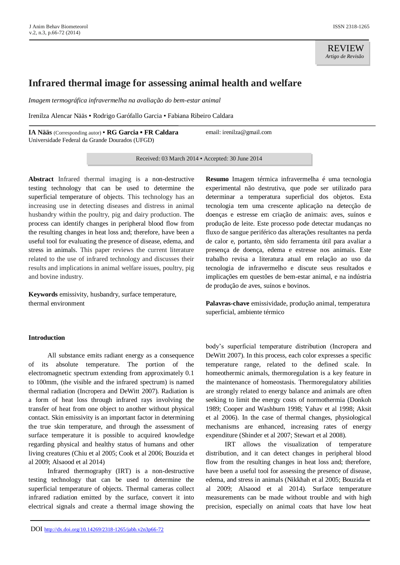REVIEW *Artigo de Revisão*

# **Infrared thermal image for assessing animal health and welfare**

*Imagem termográfica infravermelha na avaliação do bem-estar animal*

Irenilza Alencar Nääs ▪ Rodrigo Garófallo Garcia ▪ Fabiana Ribeiro Caldara

**IA Nääs** (Corresponding autor) ▪ **RG Garcia ▪ FR Caldara** Universidade Federal da Grande Dourados (UFGD)

email: irenilza@gmail.com

Received: 03 March 2014 ▪ Accepted: 30 June 2014

**Abstract** Infrared thermal imaging is a non-destructive testing technology that can be used to determine the superficial temperature of objects. This technology has an increasing use in detecting diseases and distress in animal husbandry within the poultry, pig and dairy production. The process can identify changes in peripheral blood flow from the resulting changes in heat loss and; therefore, have been a useful tool for evaluating the presence of disease, edema, and stress in animals. This paper reviews the current literature related to the use of infrared technology and discusses their results and implications in animal welfare issues, poultry, pig and bovine industry.

**Keywords** emissivity, husbandry, surface temperature, thermal environment

#### **Introduction**

All substance emits radiant energy as a consequence of its absolute temperature. The portion of the electromagnetic spectrum extending from approximately 0.1 to 100mm, (the visible and the infrared spectrum) is named thermal radiation (Incropera and DeWitt 2007). Radiation is a form of heat loss through infrared rays involving the transfer of heat from one object to another without physical contact. Skin emissivity is an important factor in determining the true skin temperature, and through the assessment of surface temperature it is possible to acquired knowledge regarding physical and healthy status of humans and other living creatures (Chiu et al 2005; Cook et al 2006; Bouzida et al 2009; Alsaood et al 2014)

Infrared thermography (IRT) is a non-destructive testing technology that can be used to determine the superficial temperature of objects. Thermal cameras collect infrared radiation emitted by the surface, convert it into electrical signals and create a thermal image showing the

**Resumo** Imagem térmica infravermelha é uma tecnologia experimental não destrutiva, que pode ser utilizado para determinar a temperatura superficial dos objetos. Esta tecnologia tem uma crescente aplicação na detecção de doenças e estresse em criação de animais: aves, suínos e produção de leite. Este processo pode detectar mudanças no fluxo de sangue periférico das alterações resultantes na perda de calor e, portanto, têm sido ferramenta útil para avaliar a presença de doença, edema e estresse nos animais. Este trabalho revisa a literatura atual em relação ao uso da tecnologia de infravermelho e discute seus resultados e implicações em questões de bem-estar animal, e na indústria de produção de aves, suínos e bovinos.

**Palavras-chave** emissividade, produção animal, temperatura superficial, ambiente térmico

body's superficial temperature distribution (Incropera and DeWitt 2007). In this process, each color expresses a specific temperature range, related to the defined scale. In homeothermic animals, thermoregulation is a key feature in the maintenance of homeostasis. Thermoregulatory abilities are strongly related to energy balance and animals are often seeking to limit the energy costs of normothermia (Donkoh 1989; Cooper and Washburn 1998; Yahav et al 1998; Aksit et al 2006). In the case of thermal changes, physiological mechanisms are enhanced, increasing rates of energy expenditure (Shinder et al 2007; Stewart et al 2008).

IRT allows the visualization of temperature distribution, and it can detect changes in peripheral blood flow from the resulting changes in heat loss and; therefore, have been a useful tool for assessing the presence of disease, edema, and stress in animals (Nikkhah et al 2005; Bouzida et al 2009; Alsaood et al 2014). Surface temperature measurements can be made without trouble and with high precision, especially on animal coats that have low heat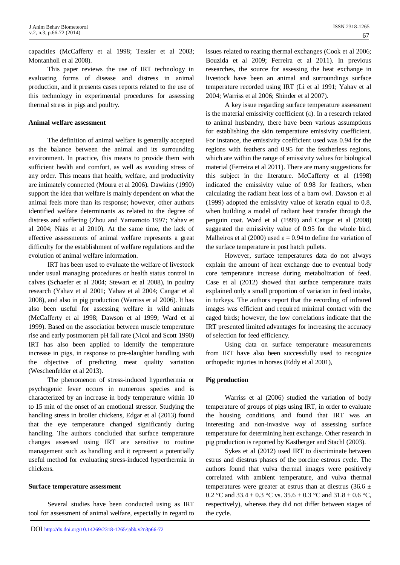capacities (McCafferty et al 1998; Tessier et al 2003; Montanholi et al 2008).

This paper reviews the use of IRT technology in evaluating forms of disease and distress in animal production, and it presents cases reports related to the use of this technology in experimental procedures for assessing thermal stress in pigs and poultry.

## **Animal welfare assessment**

The definition of animal welfare is generally accepted as the balance between the animal and its surrounding environment. In practice, this means to provide them with sufficient health and comfort, as well as avoiding stress of any order. This means that health, welfare, and productivity are intimately connected (Moura et al 2006). Dawkins (1990) support the idea that welfare is mainly dependent on what the animal feels more than its response; however, other authors identified welfare determinants as related to the degree of distress and suffering (Zhou and Yamamoto 1997; Yahav et al 2004; Nääs et al 2010). At the same time, the lack of effective assessments of animal welfare represents a great difficulty for the establishment of welfare regulations and the evolution of animal welfare information.

IRT has been used to evaluate the welfare of livestock under usual managing procedures or health status control in calves (Schaefer et al 2004; Stewart et al 2008), in poultry research (Yahav et al 2001; Yahav et al 2004; Cangar et al 2008), and also in pig production (Warriss et al 2006). It has also been useful for assessing welfare in wild animals (McCafferty et al 1998; Dawson et al 1999; Ward et al 1999). Based on the association between muscle temperature rise and early postmortem pH fall rate (Nicol and Scott 1990) IRT has also been applied to identify the temperature increase in pigs, in response to pre-slaughter handling with the objective of predicting meat quality variation (Weschenfelder et al 2013).

The phenomenon of stress-induced hyperthermia or psychogenic fever occurs in numerous species and is characterized by an increase in body temperature within 10 to 15 min of the onset of an emotional stressor. Studying the handling stress in broiler chickens, Edgar et al (2013) found that the eye temperature changed significantly during handling. The authors concluded that surface temperature changes assessed using IRT are sensitive to routine management such as handling and it represent a potentially useful method for evaluating stress-induced hyperthermia in chickens.

#### **Surface temperature assessment**

Several studies have been conducted using as IRT tool for assessment of animal welfare, especially in regard to issues related to rearing thermal exchanges (Cook et al 2006; Bouzida et al 2009; Ferreira et al 2011). In previous researches, the source for assessing the heat exchange in livestock have been an animal and surroundings surface temperature recorded using IRT (Li et al 1991; Yahav et al 2004; Warriss et al 2006; Shinder et al 2007).

A key issue regarding surface temperature assessment is the material emissivity coefficient (ε). In a research related to animal husbandry, there have been various assumptions for establishing the skin temperature emissivity coefficient. For instance, the emissivity coefficient used was 0.94 for the regions with feathers and 0.95 for the featherless regions, which are within the range of emissivity values for biological material (Ferreira et al 2011). There are many suggestions for this subject in the literature. McCafferty et al (1998) indicated the emissivity value of 0.98 for feathers, when calculating the radiant heat loss of a barn owl. Dawson et al (1999) adopted the emissivity value of keratin equal to 0.8, when building a model of radiant heat transfer through the penguin coat. Ward et al (1999) and Cangar et al (2008) suggested the emissivity value of 0.95 for the whole bird. Malheiros et al (2000) used  $\varepsilon = 0.94$  to define the variation of the surface temperature in post hatch pullets.

However, surface temperatures data do not always explain the amount of heat exchange due to eventual body core temperature increase during metabolization of feed. Case et al (2012) showed that surface temperature traits explained only a small proportion of variation in feed intake, in turkeys. The authors report that the recording of infrared images was efficient and required minimal contact with the caged birds; however, the low correlations indicate that the IRT presented limited advantages for increasing the accuracy of selection for feed efficiency.

Using data on surface temperature measurements from IRT have also been successfully used to recognize orthopedic injuries in horses (Eddy et al 2001),

## **Pig production**

Warriss et al (2006) studied the variation of body temperature of groups of pigs using IRT, in order to evaluate the housing conditions, and found that IRT was an interesting and non-invasive way of assessing surface temperature for determining heat exchange. Other research in pig production is reported by Kastberger and Stachl (2003).

Sykes et al (2012) used IRT to discriminate between estrus and diestrus phases of the porcine estrous cycle. The authors found that vulva thermal images were positively correlated with ambient temperature, and vulva thermal temperatures were greater at estrus than at diestrus (36.6  $\pm$ 0.2 °C and 33.4  $\pm$  0.3 °C vs. 35.6  $\pm$  0.3 °C and 31.8  $\pm$  0.6 °C, respectively), whereas they did not differ between stages of the cycle.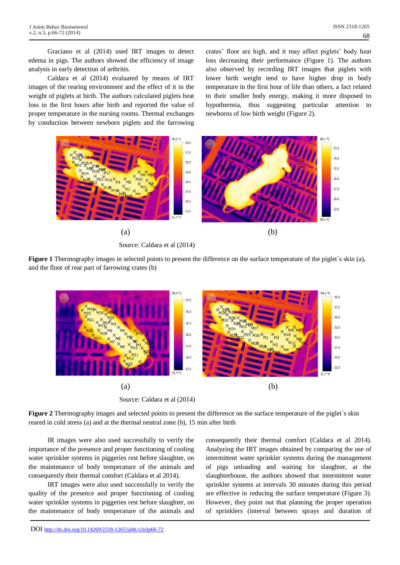Graciano et al (2014) used IRT images to detect edema in pigs. The authors showed the efficiency of image analysis in early detection of arthritis.

Caldara et al (2014) evaluated by means of IRT images of the rearing environment and the effect of it in the weight of piglets at birth. The authors calculated piglets heat loss in the first hours after birth and reported the value of proper temperature in the nursing rooms. Thermal exchanges by conduction between newborn piglets and the farrowing

crates' floor are high, and it may affect piglets' body heat loss decreasing their performance (Figure 1). The authors also observed by recording IRT images that piglets with lower birth weight tend to have higher drop in body temperature in the first hour of life than others, a fact related to their smaller body energy, making it more disposed to hypothermia, thus suggesting particular attention to newborns of low birth weight (Figure 2).



Source: Caldara et al (2014)

**Figure 1** Thermography images in selected points to present the difference on the surface temperature of the piglet's skin (a), and the floor of rear part of farrowing crates (b)



**Figure 2** Thermography images and selected points to present the difference on the surface temperature of the piglet's skin reared in cold stress (a) and at the thermal neutral zone (b), 15 min after birth

IR images were also used successfully to verify the importance of the presence and proper functioning of cooling water sprinkler systems in piggeries rest before slaughter, on the maintenance of body temperature of the animals and consequently their thermal comfort (Caldara et al 2014).

IRT images were also used successfully to verify the quality of the presence and proper functioning of cooling water sprinkler systems in piggeries rest before slaughter, on the maintenance of body temperature of the animals and

consequently their thermal comfort (Caldara et al 2014). Analyzing the IRT images obtained by comparing the use of intermittent water sprinkler systems during the management of pigs unloading and waiting for slaughter, at the slaughterhouse, the authors showed that intermittent water sprinkler systems at intervals 30 minutes during this period are effective in reducing the surface temperature (Figure 3). However, they point out that planning the proper operation of sprinklers (interval between sprays and duration of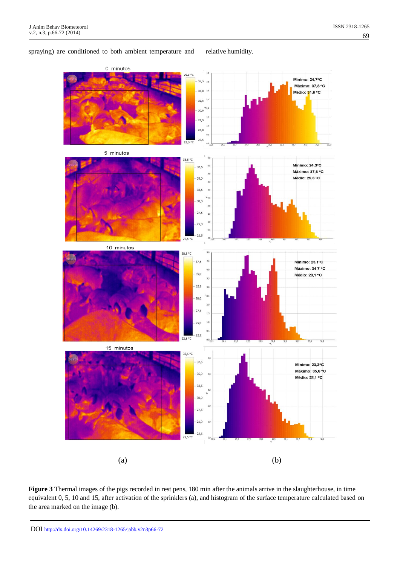## ISSN 2318-1265 69

## spraying) are conditioned to both ambient temperature and relative humidity.



**Figure 3** Thermal images of the pigs recorded in rest pens, 180 min after the animals arrive in the slaughterhouse, in time equivalent 0, 5, 10 and 15, after activation of the sprinklers (a), and histogram of the surface temperature calculated based on the area marked on the image (b).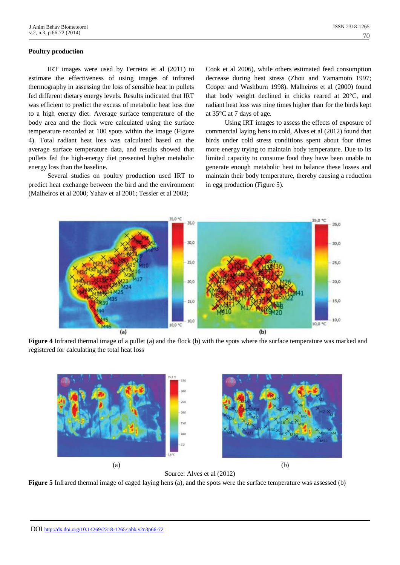## **Poultry production**

IRT images were used by Ferreira et al (2011) to estimate the effectiveness of using images of infrared thermography in assessing the loss of sensible heat in pullets fed different dietary energy levels. Results indicated that IRT was efficient to predict the excess of metabolic heat loss due to a high energy diet. Average surface temperature of the body area and the flock were calculated using the surface temperature recorded at 100 spots within the image (Figure 4). Total radiant heat loss was calculated based on the average surface temperature data, and results showed that pullets fed the high-energy diet presented higher metabolic energy loss than the baseline.

Several studies on poultry production used IRT to predict heat exchange between the bird and the environment (Malheiros et al 2000; Yahav et al 2001; Tessier et al 2003;

Cook et al 2006), while others estimated feed consumption decrease during heat stress (Zhou and Yamamoto 1997; Cooper and Washburn 1998). Malheiros et al (2000) found that body weight declined in chicks reared at 20°C, and radiant heat loss was nine times higher than for the birds kept at 35°C at 7 days of age.

Using IRT images to assess the effects of exposure of commercial laying hens to cold, Alves et al (2012) found that birds under cold stress conditions spent about four times more energy trying to maintain body temperature. Due to its limited capacity to consume food they have been unable to generate enough metabolic heat to balance these losses and maintain their body temperature, thereby causing a reduction in egg production (Figure 5).



**Figure 4** Infrared thermal image of a pullet (a) and the flock (b) with the spots where the surface temperature was marked and registered for calculating the total heat loss



Source: Alves et al (2012)

**Figure 5** Infrared thermal image of caged laying hens (a), and the spots were the surface temperature was assessed (b)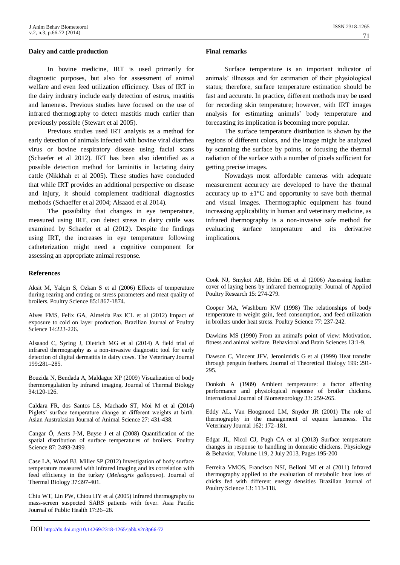#### **Dairy and cattle production**

In bovine medicine, IRT is used primarily for diagnostic purposes, but also for assessment of animal welfare and even feed utilization efficiency. Uses of IRT in the dairy industry include early detection of estrus, mastitis and lameness. Previous studies have focused on the use of infrared thermography to detect mastitis much earlier than previously possible (Stewart et al 2005).

Previous studies used IRT analysis as a method for early detection of animals infected with bovine viral diarrhea virus or bovine respiratory disease using facial scans (Schaefer et al 2012). IRT has been also identified as a possible detection method for laminitis in lactating dairy cattle (Nikkhah et al 2005). These studies have concluded that while IRT provides an additional perspective on disease and injury, it should complement traditional diagnostics methods (Schaeffer et al 2004; Alsaaod et al 2014).

The possibility that changes in eye temperature, measured using IRT, can detect stress in dairy cattle was examined by Schaefer et al (2012). Despite the findings using IRT, the increases in eye temperature following catheterization might need a cognitive component for assessing an appropriate animal response.

#### **References**

Aksit M, Yalçin S, Özkan S et al (2006) Effects of temperature during rearing and crating on stress parameters and meat quality of broilers. Poultry Science 85:1867-1874.

Alves FMS, Felix GA, Almeida Paz ICL et al (2012) Impact of exposure to cold on layer production. Brazilian Journal of Poultry Science 14:223-226.

Alsaaod C, Syring J, Dietrich MG et al (2014) A field trial of infrared thermography as a non-invasive diagnostic tool for early detection of digital dermatitis in dairy cows. The Veterinary Journal 199:281–285.

Bouzida N, Bendada A, Maldague XP (2009) Visualization of body thermoregulation by infrared imaging. Journal of Thermal Biology 34:120-126.

Caldara FR, dos Santos LS, Machado ST, Moi M et al (2014) Piglets' surface temperature change at different weights at birth. Asian Australasian Journal of Animal Science 27: 431-438.

Cangar Ö, Aerts J-M, Buyse J et al (2008) Quantification of the spatial distribution of surface temperatures of broilers. Poultry Science 87: 2493-2499.

Case LA, Wood BJ, Miller SP (2012) Investigation of body surface temperature measured with infrared imaging and its correlation with feed efficiency in the turkey (*Meleagris gallopavo*). Journal of Thermal Biology 37:397-401.

Chiu WT, Lin PW, Chiou HY et al (2005) Infrared thermography to mass-screen suspected SARS patients with fever. Asia Pacific Journal of Public Health 17:26–28.

### **Final remarks**

Surface temperature is an important indicator of animals' illnesses and for estimation of their physiological status; therefore, surface temperature estimation should be fast and accurate. In practice, different methods may be used for recording skin temperature; however, with IRT images analysis for estimating animals' body temperature and forecasting its implication is becoming more popular.

The surface temperature distribution is shown by the regions of different colors, and the image might be analyzed by scanning the surface by points, or focusing the thermal radiation of the surface with a number of pixels sufficient for getting precise images.

Nowadays most affordable cameras with adequate measurement accuracy are developed to have the thermal accuracy up to  $\pm 1^{\circ}$ C and opportunity to save both thermal and visual images. Thermographic equipment has found increasing applicability in human and veterinary medicine, as infrared thermography is a non-invasive safe method for evaluating surface temperature and its derivative implications.

Cook NJ, Smykot AB, Holm DE et al (2006) Assessing feather cover of laying hens by infrared thermography. Journal of Applied Poultry Research 15: 274-279.

Cooper MA, Washburn KW (1998) The relationships of body temperature to weight gain, feed consumption, and feed utilization in broilers under heat stress. Poultry Science 77: 237-242.

Dawkins MS (1990) From an animal's point of view: Motivation, fitness and animal welfare. Behavioral and Brain Sciences 13:1-9.

Dawson C, Vincent JFV, Jeronimidis G et al (1999) Heat transfer through penguin feathers. Journal of Theoretical Biology 199: 291- 295.

Donkoh A (1989) Ambient temperature: a factor affecting performance and physiological response of broiler chickens. International Journal of Biometeorology 33: 259-265.

Eddy AL, Van Hoogmoed LM, Snyder JR (2001) The role of thermography in the management of equine lameness. The Veterinary Journal 162: 172–181.

Edgar JL, Nicol CJ, Pugh CA et al (2013) Surface temperature changes in response to handling in domestic chickens. Physiology & Behavior, Volume 119, 2 July 2013, Pages 195-200

Ferreira VMOS, Francisco NSI, Belloni MI et al (2011) Infrared thermography applied to the evaluation of metabolic heat loss of chicks fed with different energy densities Brazilian Journal of Poultry Science 13: 113-118.